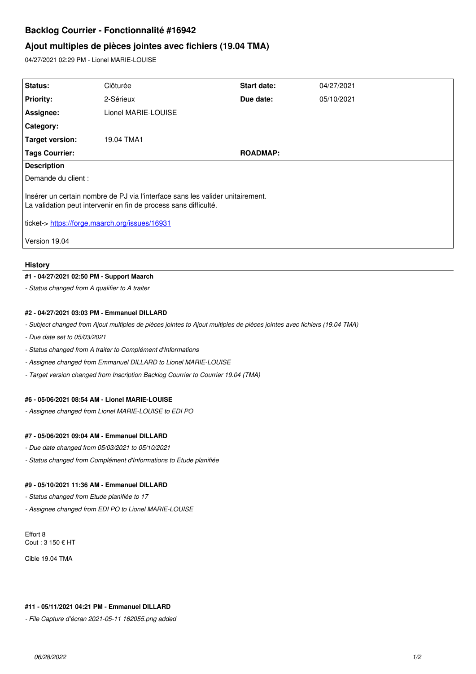# **Backlog Courrier - Fonctionnalité #16942**

## **Ajout multiples de pièces jointes avec fichiers (19.04 TMA)**

04/27/2021 02:29 PM - Lionel MARIE-LOUISE

| Status:                                                                                                                                            | Clôturée            | <b>Start date:</b> | 04/27/2021 |
|----------------------------------------------------------------------------------------------------------------------------------------------------|---------------------|--------------------|------------|
| <b>Priority:</b>                                                                                                                                   | 2-Sérieux           | Due date:          | 05/10/2021 |
| Assignee:                                                                                                                                          | Lionel MARIE-LOUISE |                    |            |
| Category:                                                                                                                                          |                     |                    |            |
| Target version:                                                                                                                                    | 19.04 TMA1          |                    |            |
| <b>Tags Courrier:</b>                                                                                                                              |                     | <b>ROADMAP:</b>    |            |
| <b>Description</b>                                                                                                                                 |                     |                    |            |
| Demande du client :                                                                                                                                |                     |                    |            |
| Insérer un certain nombre de PJ via l'interface sans les valider unitairement.<br>La validation peut intervenir en fin de process sans difficulté. |                     |                    |            |
| ticket-> https://forge.maarch.org/issues/16931                                                                                                     |                     |                    |            |
| Version 19.04                                                                                                                                      |                     |                    |            |

#### **History**

#### **#1 - 04/27/2021 02:50 PM - Support Maarch**

*- Status changed from A qualifier to A traiter*

### **#2 - 04/27/2021 03:03 PM - Emmanuel DILLARD**

*- Subject changed from Ajout multiples de pièces jointes to Ajout multiples de pièces jointes avec fichiers (19.04 TMA)*

- *Due date set to 05/03/2021*
- *Status changed from A traiter to Complément d'Informations*
- *Assignee changed from Emmanuel DILLARD to Lionel MARIE-LOUISE*
- *Target version changed from Inscription Backlog Courrier to Courrier 19.04 (TMA)*

## **#6 - 05/06/2021 08:54 AM - Lionel MARIE-LOUISE**

*- Assignee changed from Lionel MARIE-LOUISE to EDI PO*

#### **#7 - 05/06/2021 09:04 AM - Emmanuel DILLARD**

- *Due date changed from 05/03/2021 to 05/10/2021*
- *Status changed from Complément d'Informations to Etude planifiée*

#### **#9 - 05/10/2021 11:36 AM - Emmanuel DILLARD**

*- Status changed from Etude planifiée to 17*

*- Assignee changed from EDI PO to Lionel MARIE-LOUISE*

Effort 8 Cout : 3 150 € HT

Cible 19.04 TMA

#### **#11 - 05/11/2021 04:21 PM - Emmanuel DILLARD**

*- File Capture d'écran 2021-05-11 162055.png added*